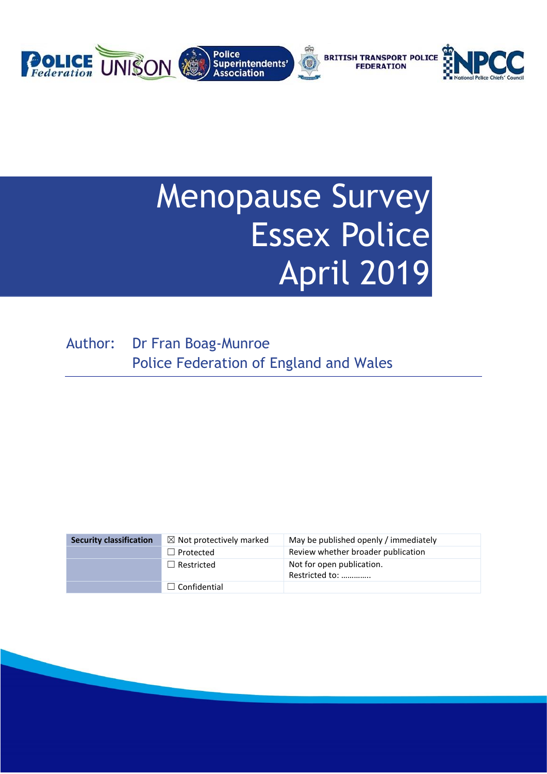

# Menopause Survey Essex Police April 2019

Author: Dr Fran Boag-Munroe Police Federation of England and Wales

| <b>Security classification</b> | $\boxtimes$ Not protectively marked | May be published openly / immediately       |
|--------------------------------|-------------------------------------|---------------------------------------------|
|                                | $\Box$ Protected                    | Review whether broader publication          |
|                                | $\Box$ Restricted                   | Not for open publication.<br>Restricted to: |
|                                | $\Box$ Confidential                 |                                             |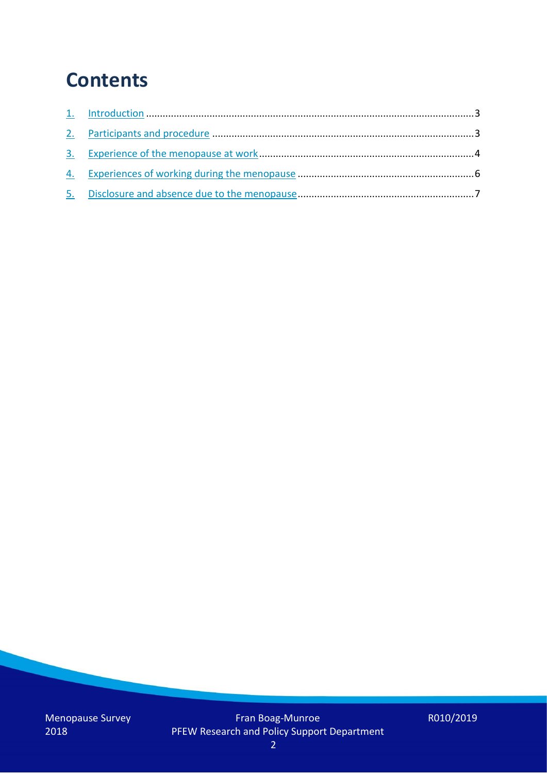## **Contents**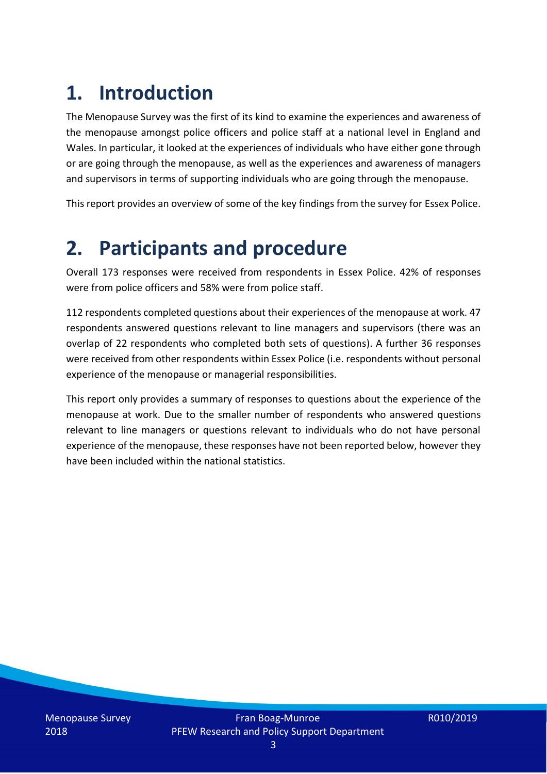# **1. Introduction**

The Menopause Survey was the first of its kind to examine the experiences and awareness of the menopause amongst police officers and police staff at a national level in England and Wales. In particular, it looked at the experiences of individuals who have either gone through or are going through the menopause, as well as the experiences and awareness of managers and supervisors in terms of supporting individuals who are going through the menopause.

This report provides an overview of some of the key findings from the survey for Essex Police.

### **2. Participants and procedure**

Overall 173 responses were received from respondents in Essex Police. 42% of responses were from police officers and 58% were from police staff.

112 respondents completed questions about their experiences of the menopause at work. 47 respondents answered questions relevant to line managers and supervisors (there was an overlap of 22 respondents who completed both sets of questions). A further 36 responses were received from other respondents within Essex Police (i.e. respondents without personal experience of the menopause or managerial responsibilities.

This report only provides a summary of responses to questions about the experience of the menopause at work. Due to the smaller number of respondents who answered questions relevant to line managers or questions relevant to individuals who do not have personal experience of the menopause, these responses have not been reported below, however they have been included within the national statistics.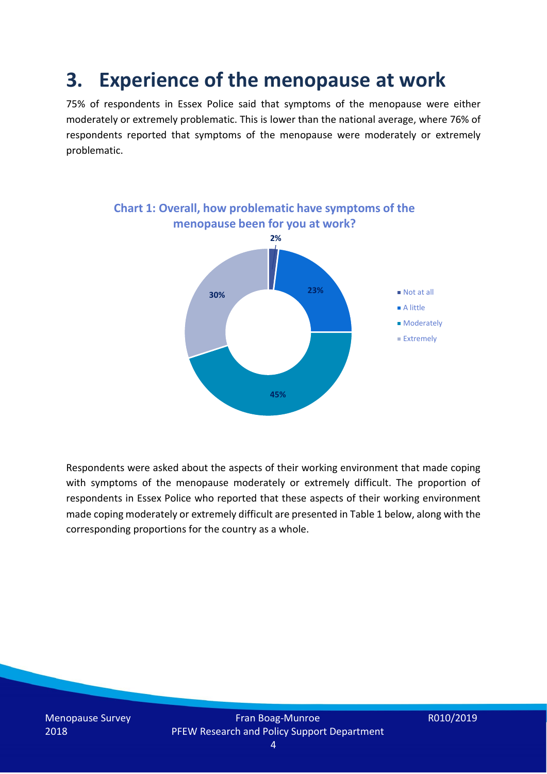### **3. Experience of the menopause at work**

75% of respondents in Essex Police said that symptoms of the menopause were either moderately or extremely problematic. This is lower than the national average, where 76% of respondents reported that symptoms of the menopause were moderately or extremely problematic.



Respondents were asked about the aspects of their working environment that made coping with symptoms of the menopause moderately or extremely difficult. The proportion of respondents in Essex Police who reported that these aspects of their working environment made coping moderately or extremely difficult are presented in Table 1 below, along with the corresponding proportions for the country as a whole.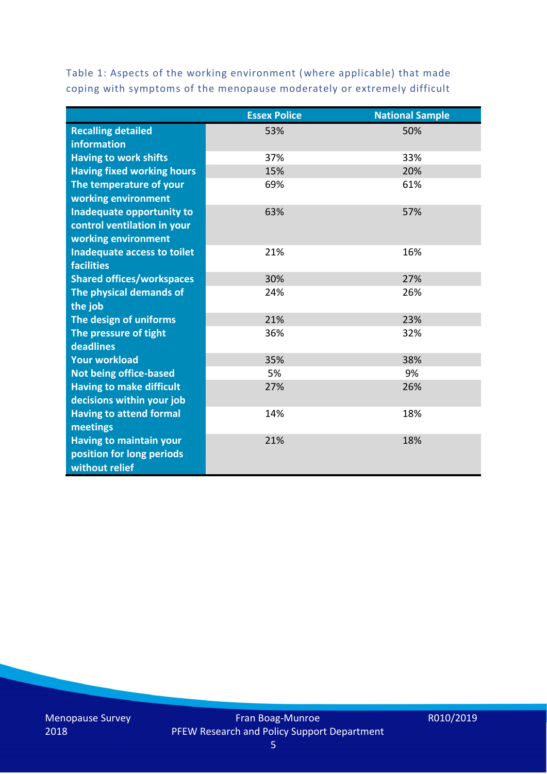Table 1: Aspects of the working environment (where applicable) that made coping with symptoms of the menopause moderately or extremely difficult

|                                   | <b>Essex Police</b> | <b>National Sample</b> |
|-----------------------------------|---------------------|------------------------|
| <b>Recalling detailed</b>         | 53%                 | 50%                    |
| information                       |                     |                        |
| <b>Having to work shifts</b>      | 37%                 | 33%                    |
| <b>Having fixed working hours</b> | 15%                 | 20%                    |
| The temperature of your           | 69%                 | 61%                    |
| working environment               |                     |                        |
| Inadequate opportunity to         | 63%                 | 57%                    |
| control ventilation in your       |                     |                        |
| working environment               |                     |                        |
| Inadequate access to toilet       | 21%                 | 16%                    |
| <b>facilities</b>                 |                     |                        |
| <b>Shared offices/workspaces</b>  | 30%                 | 27%                    |
| The physical demands of           | 24%                 | 26%                    |
| the job                           |                     |                        |
| The design of uniforms            | 21%                 | 23%                    |
| The pressure of tight             | 36%                 | 32%                    |
| deadlines                         |                     |                        |
| <b>Your workload</b>              | 35%                 | 38%                    |
| <b>Not being office-based</b>     | 5%                  | 9%                     |
| <b>Having to make difficult</b>   | 27%                 | 26%                    |
| decisions within your job         |                     |                        |
| <b>Having to attend formal</b>    | 14%                 | 18%                    |
| meetings                          |                     |                        |
| <b>Having to maintain your</b>    | 21%                 | 18%                    |
| position for long periods         |                     |                        |
| without relief                    |                     |                        |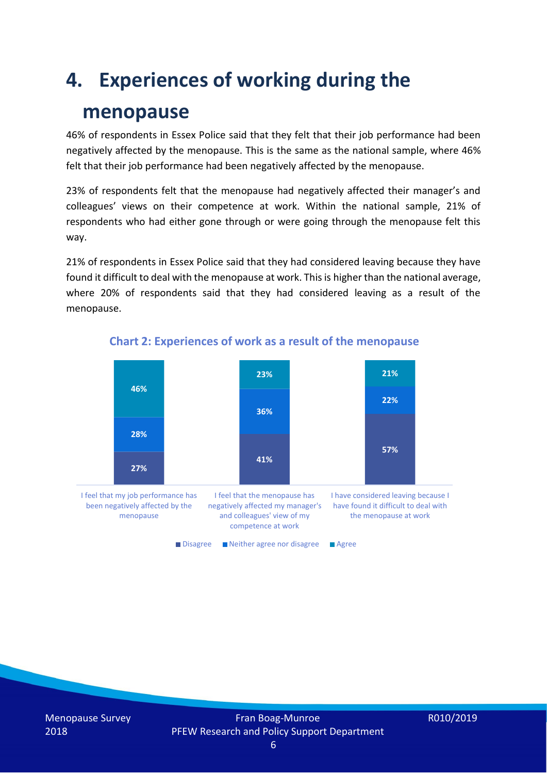### **4. Experiences of working during the**

### **menopause**

46% of respondents in Essex Police said that they felt that their job performance had been negatively affected by the menopause. This is the same as the national sample, where 46% felt that their job performance had been negatively affected by the menopause.

23% of respondents felt that the menopause had negatively affected their manager's and colleagues' views on their competence at work. Within the national sample, 21% of respondents who had either gone through or were going through the menopause felt this way.

21% of respondents in Essex Police said that they had considered leaving because they have found it difficult to deal with the menopause at work. This is higher than the national average, where 20% of respondents said that they had considered leaving as a result of the menopause.



#### **Chart 2: Experiences of work as a result of the menopause**